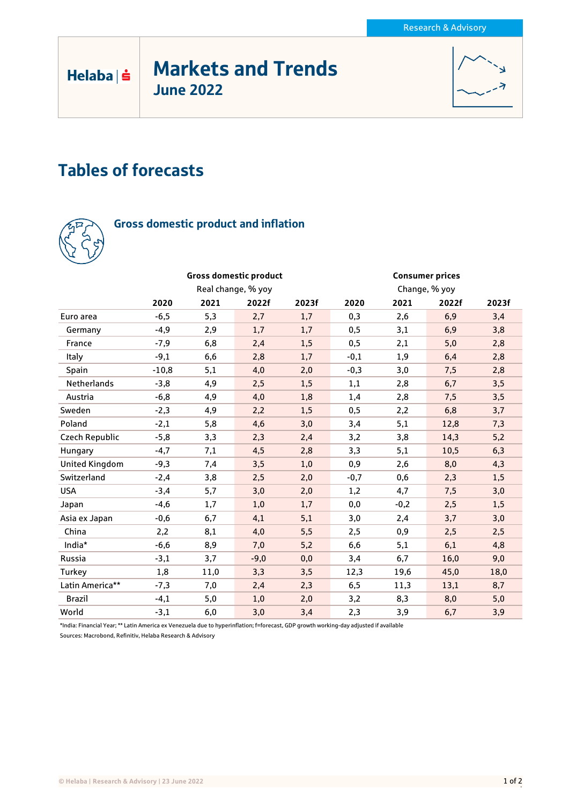# Markets and Trends June 2022



# Tables of forecasts



 $Helaba| \dot{ }$ 

## Gross domestic product and inflation

|                       |                    |      | <b>Gross domestic product</b> |       | <b>Consumer prices</b> |        |       |       |
|-----------------------|--------------------|------|-------------------------------|-------|------------------------|--------|-------|-------|
|                       | Real change, % yoy |      |                               |       | Change, % yoy          |        |       |       |
|                       | 2020               | 2021 | 2022f                         | 2023f | 2020                   | 2021   | 2022f | 2023f |
| Euro area             | $-6,5$             | 5,3  | 2,7                           | 1,7   | 0,3                    | 2,6    | 6,9   | 3,4   |
| Germany               | $-4,9$             | 2,9  | 1,7                           | 1,7   | 0,5                    | 3,1    | 6,9   | 3,8   |
| France                | $-7,9$             | 6,8  | 2,4                           | 1,5   | 0,5                    | 2,1    | 5,0   | 2,8   |
| Italy                 | $-9,1$             | 6,6  | 2,8                           | 1,7   | $-0,1$                 | 1,9    | 6,4   | 2,8   |
| Spain                 | $-10,8$            | 5,1  | 4,0                           | 2,0   | $-0,3$                 | 3,0    | 7,5   | 2,8   |
| Netherlands           | $-3,8$             | 4,9  | 2,5                           | 1,5   | 1,1                    | 2,8    | 6,7   | 3,5   |
| Austria               | $-6,8$             | 4,9  | 4,0                           | 1,8   | 1,4                    | 2,8    | 7,5   | 3,5   |
| Sweden                | $-2,3$             | 4,9  | 2,2                           | 1,5   | 0,5                    | 2,2    | 6,8   | 3,7   |
| Poland                | $-2,1$             | 5,8  | 4,6                           | 3,0   | 3,4                    | 5,1    | 12,8  | 7,3   |
| Czech Republic        | $-5,8$             | 3,3  | 2,3                           | 2,4   | 3,2                    | 3,8    | 14,3  | 5,2   |
| Hungary               | $-4,7$             | 7,1  | 4,5                           | 2,8   | 3,3                    | 5,1    | 10,5  | 6,3   |
| <b>United Kingdom</b> | $-9,3$             | 7,4  | 3,5                           | 1,0   | 0,9                    | 2,6    | 8,0   | 4,3   |
| Switzerland           | $-2,4$             | 3,8  | 2,5                           | 2,0   | $-0,7$                 | 0,6    | 2,3   | 1,5   |
| <b>USA</b>            | $-3,4$             | 5,7  | 3,0                           | 2,0   | 1,2                    | 4,7    | 7,5   | 3,0   |
| Japan                 | $-4,6$             | 1,7  | 1,0                           | 1,7   | 0,0                    | $-0,2$ | 2,5   | 1,5   |
| Asia ex Japan         | $-0,6$             | 6,7  | 4,1                           | 5,1   | 3,0                    | 2,4    | 3,7   | 3,0   |
| China                 | 2,2                | 8,1  | 4,0                           | 5,5   | 2,5                    | 0,9    | 2,5   | 2,5   |
| India*                | $-6,6$             | 8,9  | 7,0                           | 5,2   | 6,6                    | 5,1    | 6,1   | 4,8   |
| Russia                | $-3,1$             | 3,7  | $-9,0$                        | 0,0   | 3,4                    | 6,7    | 16,0  | 9,0   |
| Turkey                | 1,8                | 11,0 | 3,3                           | 3,5   | 12,3                   | 19,6   | 45,0  | 18,0  |
| Latin America**       | $-7,3$             | 7,0  | 2,4                           | 2,3   | 6, 5                   | 11,3   | 13,1  | 8,7   |
| <b>Brazil</b>         | $-4,1$             | 5,0  | 1,0                           | 2,0   | 3,2                    | 8,3    | 8,0   | 5,0   |
| World                 | $-3,1$             | 6,0  | 3,0                           | 3,4   | 2,3                    | 3,9    | 6,7   | 3,9   |

\*India: Financial Year; \*\* Latin America ex Venezuela due to hyperinflation; f=forecast, GDP growth working-day adjusted if available Sources: Macrobond, Refinitiv, Helaba Research & Advisory